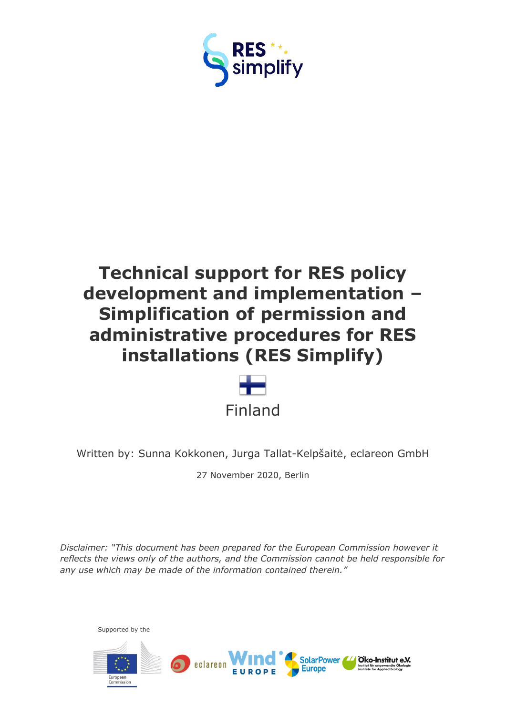



Written by: Sunna Kokkonen, Jurga Tallat-Kelpšaitė, eclareon GmbH

27 November 2020, Berlin

*Disclaimer: "This document has been prepared for the European Commission however it reflects the views only of the authors, and the Commission cannot be held responsible for any use which may be made of the information contained therein."*

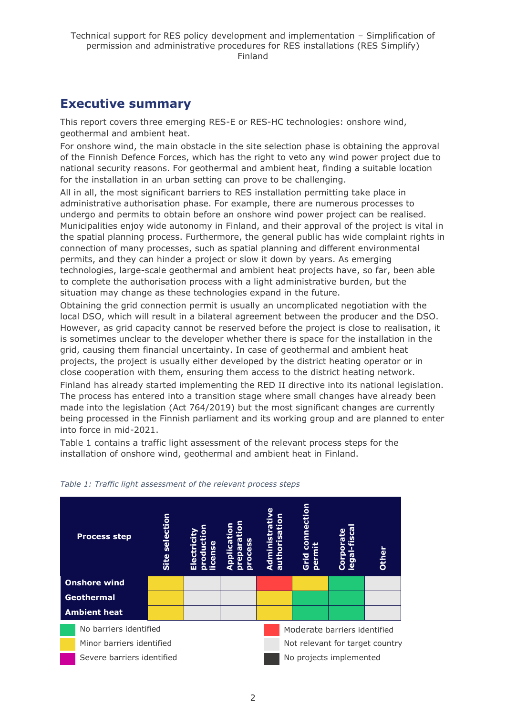## <span id="page-1-0"></span>**Executive summary**

This report covers three emerging RES-E or RES-HC technologies: onshore wind, geothermal and ambient heat.

For onshore wind, the main obstacle in the site selection phase is obtaining the approval of the Finnish Defence Forces, which has the right to veto any wind power project due to national security reasons. For geothermal and ambient heat, finding a suitable location for the installation in an urban setting can prove to be challenging.

All in all, the most significant barriers to RES installation permitting take place in administrative authorisation phase. For example, there are numerous processes to undergo and permits to obtain before an onshore wind power project can be realised. Municipalities enjoy wide autonomy in Finland, and their approval of the project is vital in the spatial planning process. Furthermore, the general public has wide complaint rights in connection of many processes, such as spatial planning and different environmental permits, and they can hinder a project or slow it down by years. As emerging technologies, large-scale geothermal and ambient heat projects have, so far, been able to complete the authorisation process with a light administrative burden, but the situation may change as these technologies expand in the future.

Obtaining the grid connection permit is usually an uncomplicated negotiation with the local DSO, which will result in a bilateral agreement between the producer and the DSO. However, as grid capacity cannot be reserved before the project is close to realisation, it is sometimes unclear to the developer whether there is space for the installation in the grid, causing them financial uncertainty. In case of geothermal and ambient heat projects, the project is usually either developed by the district heating operator or in close cooperation with them, ensuring them access to the district heating network.

Finland has already started implementing the RED II directive into its national legislation. The process has entered into a transition stage where small changes have already been made into the legislation (Act 764/2019) but the most significant changes are currently being processed in the Finnish parliament and its working group and are planned to enter into force in mid-2021.

Table 1 contains a traffic light assessment of the relevant process steps for the installation of onshore wind, geothermal and ambient heat in Finland.



#### *Table 1: Traffic light assessment of the relevant process steps*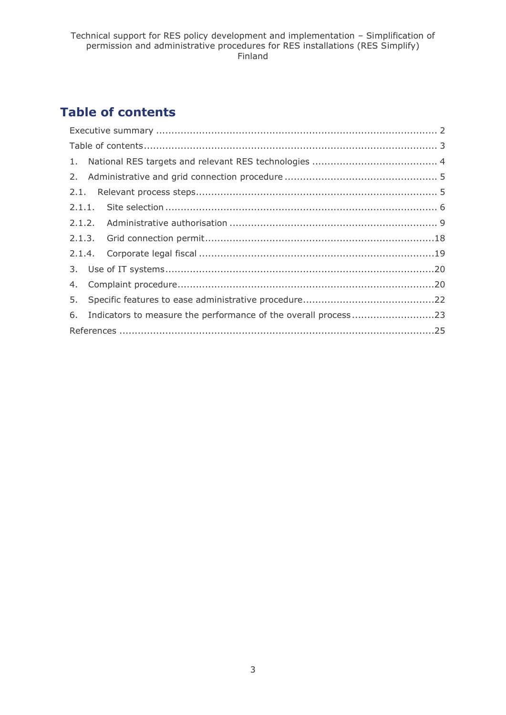## <span id="page-2-0"></span>**Table of contents**

| 6. Indicators to measure the performance of the overall process23 |
|-------------------------------------------------------------------|
|                                                                   |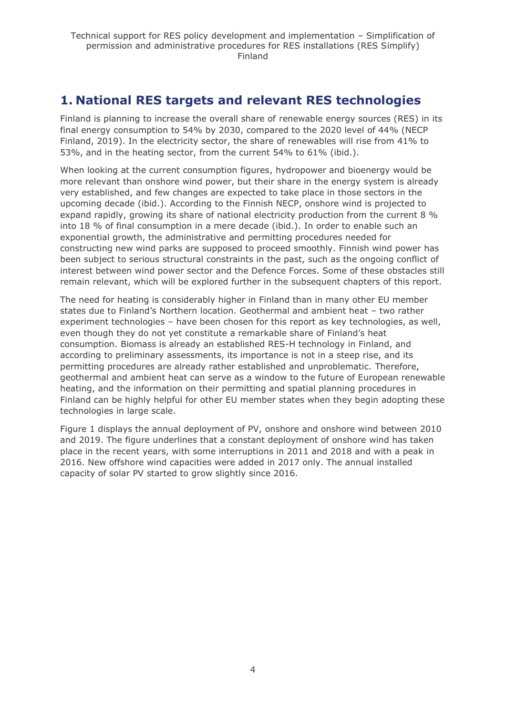## <span id="page-3-0"></span>**1. National RES targets and relevant RES technologies**

Finland is planning to increase the overall share of renewable energy sources (RES) in its final energy consumption to 54% by 2030, compared to the 2020 level of 44% (NECP Finland, 2019). In the electricity sector, the share of renewables will rise from 41% to 53%, and in the heating sector, from the current 54% to 61% (ibid.).

When looking at the current consumption figures, hydropower and bioenergy would be more relevant than onshore wind power, but their share in the energy system is already very established, and few changes are expected to take place in those sectors in the upcoming decade (ibid.). According to the Finnish NECP, onshore wind is projected to expand rapidly, growing its share of national electricity production from the current 8 % into 18 % of final consumption in a mere decade (ibid.). In order to enable such an exponential growth, the administrative and permitting procedures needed for constructing new wind parks are supposed to proceed smoothly. Finnish wind power has been subject to serious structural constraints in the past, such as the ongoing conflict of interest between wind power sector and the Defence Forces. Some of these obstacles still remain relevant, which will be explored further in the subsequent chapters of this report.

The need for heating is considerably higher in Finland than in many other EU member states due to Finland's Northern location. Geothermal and ambient heat – two rather experiment technologies – have been chosen for this report as key technologies, as well, even though they do not yet constitute a remarkable share of Finland's heat consumption. Biomass is already an established RES-H technology in Finland, and according to preliminary assessments, its importance is not in a steep rise, and its permitting procedures are already rather established and unproblematic. Therefore, geothermal and ambient heat can serve as a window to the future of European renewable heating, and the information on their permitting and spatial planning procedures in Finland can be highly helpful for other EU member states when they begin adopting these technologies in large scale.

Figure 1 displays the annual deployment of PV, onshore and onshore wind between 2010 and 2019. The figure underlines that a constant deployment of onshore wind has taken place in the recent years, with some interruptions in 2011 and 2018 and with a peak in 2016. New offshore wind capacities were added in 2017 only. The annual installed capacity of solar PV started to grow slightly since 2016.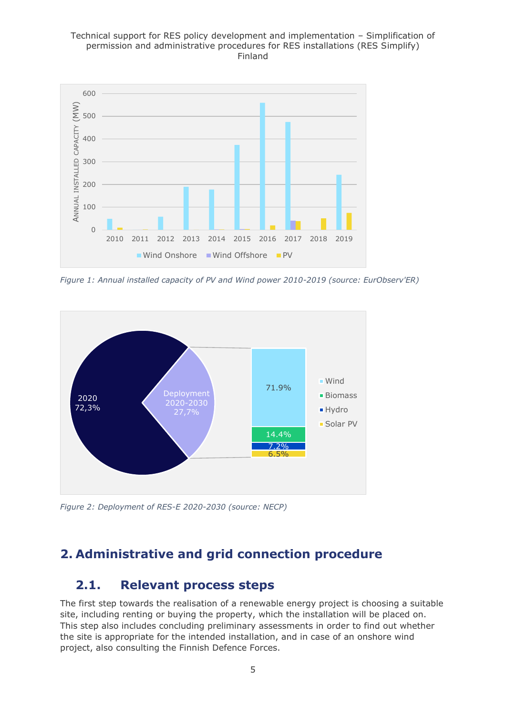

*Figure 1: Annual installed capacity of PV and Wind power 2010-2019 (source: EurObserv'ER)*



*Figure 2: Deployment of RES-E 2020-2030 (source: NECP)*

## <span id="page-4-1"></span><span id="page-4-0"></span>**2. Administrative and grid connection procedure**

## **2.1. Relevant process steps**

The first step towards the realisation of a renewable energy project is choosing a suitable site, including renting or buying the property, which the installation will be placed on. This step also includes concluding preliminary assessments in order to find out whether the site is appropriate for the intended installation, and in case of an onshore wind project, also consulting the Finnish Defence Forces.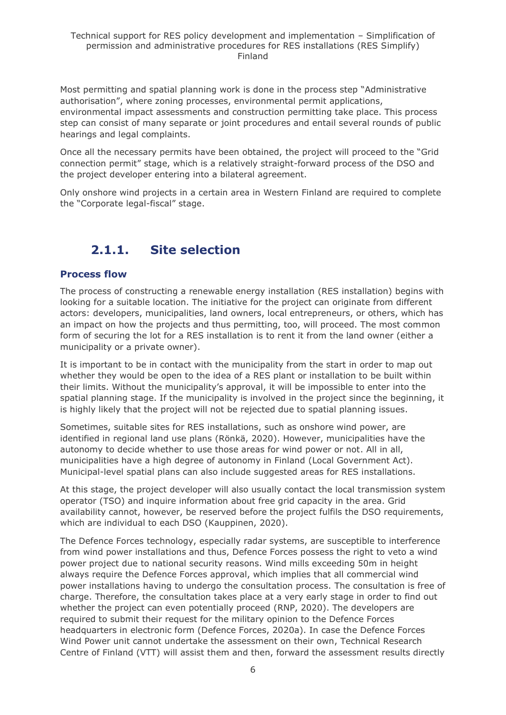Most permitting and spatial planning work is done in the process step "Administrative authorisation", where zoning processes, environmental permit applications, environmental impact assessments and construction permitting take place. This process step can consist of many separate or joint procedures and entail several rounds of public hearings and legal complaints.

Once all the necessary permits have been obtained, the project will proceed to the "Grid connection permit" stage, which is a relatively straight-forward process of the DSO and the project developer entering into a bilateral agreement.

Only onshore wind projects in a certain area in Western Finland are required to complete the "Corporate legal-fiscal" stage.

## **2.1.1. Site selection**

### <span id="page-5-0"></span>**Process flow**

The process of constructing a renewable energy installation (RES installation) begins with looking for a suitable location. The initiative for the project can originate from different actors: developers, municipalities, land owners, local entrepreneurs, or others, which has an impact on how the projects and thus permitting, too, will proceed. The most common form of securing the lot for a RES installation is to rent it from the land owner (either a municipality or a private owner).

It is important to be in contact with the municipality from the start in order to map out whether they would be open to the idea of a RES plant or installation to be built within their limits. Without the municipality's approval, it will be impossible to enter into the spatial planning stage. If the municipality is involved in the project since the beginning, it is highly likely that the project will not be rejected due to spatial planning issues.

Sometimes, suitable sites for RES installations, such as onshore wind power, are identified in regional land use plans (Rönkä, 2020). However, municipalities have the autonomy to decide whether to use those areas for wind power or not. All in all, municipalities have a high degree of autonomy in Finland (Local Government Act). Municipal-level spatial plans can also include suggested areas for RES installations.

At this stage, the project developer will also usually contact the local transmission system operator (TSO) and inquire information about free grid capacity in the area. Grid availability cannot, however, be reserved before the project fulfils the DSO requirements, which are individual to each DSO (Kauppinen, 2020).

The Defence Forces technology, especially radar systems, are susceptible to interference from wind power installations and thus, Defence Forces possess the right to veto a wind power project due to national security reasons. Wind mills exceeding 50m in height always require the Defence Forces approval, which implies that all commercial wind power installations having to undergo the consultation process. The consultation is free of charge. Therefore, the consultation takes place at a very early stage in order to find out whether the project can even potentially proceed (RNP, 2020). The developers are required to submit their request for the military opinion to the Defence Forces headquarters in electronic form (Defence Forces, 2020a). In case the Defence Forces Wind Power unit cannot undertake the assessment on their own, Technical Research Centre of Finland (VTT) will assist them and then, forward the assessment results directly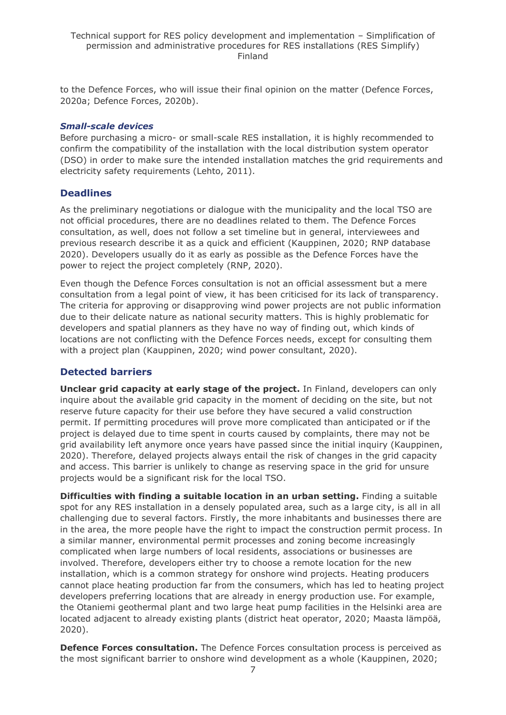to the Defence Forces, who will issue their final opinion on the matter (Defence Forces, 2020a; Defence Forces, 2020b).

### *Small-scale devices*

Before purchasing a micro- or small-scale RES installation, it is highly recommended to confirm the compatibility of the installation with the local distribution system operator (DSO) in order to make sure the intended installation matches the grid requirements and electricity safety requirements (Lehto, 2011).

### **Deadlines**

As the preliminary negotiations or dialogue with the municipality and the local TSO are not official procedures, there are no deadlines related to them. The Defence Forces consultation, as well, does not follow a set timeline but in general, interviewees and previous research describe it as a quick and efficient (Kauppinen, 2020; RNP database 2020). Developers usually do it as early as possible as the Defence Forces have the power to reject the project completely (RNP, 2020).

Even though the Defence Forces consultation is not an official assessment but a mere consultation from a legal point of view, it has been criticised for its lack of transparency. The criteria for approving or disapproving wind power projects are not public information due to their delicate nature as national security matters. This is highly problematic for developers and spatial planners as they have no way of finding out, which kinds of locations are not conflicting with the Defence Forces needs, except for consulting them with a project plan (Kauppinen, 2020; wind power consultant, 2020).

## **Detected barriers**

**Unclear grid capacity at early stage of the project.** In Finland, developers can only inquire about the available grid capacity in the moment of deciding on the site, but not reserve future capacity for their use before they have secured a valid construction permit. If permitting procedures will prove more complicated than anticipated or if the project is delayed due to time spent in courts caused by complaints, there may not be grid availability left anymore once years have passed since the initial inquiry (Kauppinen, 2020). Therefore, delayed projects always entail the risk of changes in the grid capacity and access. This barrier is unlikely to change as reserving space in the grid for unsure projects would be a significant risk for the local TSO.

**Difficulties with finding a suitable location in an urban setting.** Finding a suitable spot for any RES installation in a densely populated area, such as a large city, is all in all challenging due to several factors. Firstly, the more inhabitants and businesses there are in the area, the more people have the right to impact the construction permit process. In a similar manner, environmental permit processes and zoning become increasingly complicated when large numbers of local residents, associations or businesses are involved. Therefore, developers either try to choose a remote location for the new installation, which is a common strategy for onshore wind projects. Heating producers cannot place heating production far from the consumers, which has led to heating project developers preferring locations that are already in energy production use. For example, the Otaniemi geothermal plant and two large heat pump facilities in the Helsinki area are located adjacent to already existing plants (district heat operator, 2020; Maasta lämpöä, 2020).

**Defence Forces consultation.** The Defence Forces consultation process is perceived as the most significant barrier to onshore wind development as a whole (Kauppinen, 2020;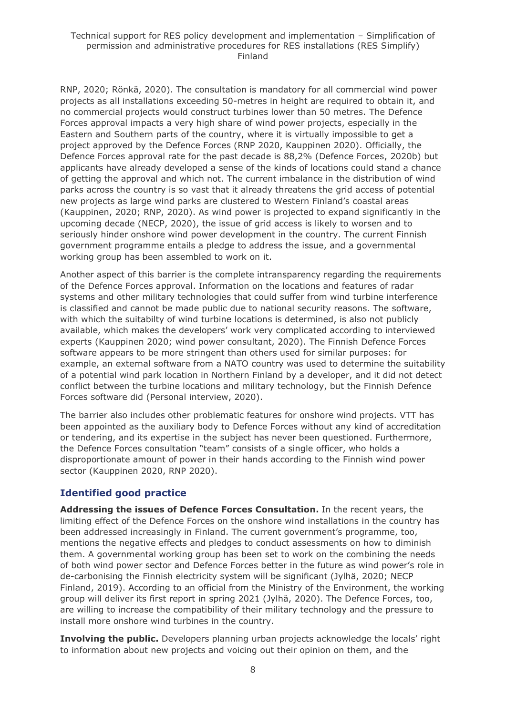RNP, 2020; Rönkä, 2020). The consultation is mandatory for all commercial wind power projects as all installations exceeding 50-metres in height are required to obtain it, and no commercial projects would construct turbines lower than 50 metres. The Defence Forces approval impacts a very high share of wind power projects, especially in the Eastern and Southern parts of the country, where it is virtually impossible to get a project approved by the Defence Forces (RNP 2020, Kauppinen 2020). Officially, the Defence Forces approval rate for the past decade is 88,2% (Defence Forces, 2020b) but applicants have already developed a sense of the kinds of locations could stand a chance of getting the approval and which not. The current imbalance in the distribution of wind parks across the country is so vast that it already threatens the grid access of potential new projects as large wind parks are clustered to Western Finland's coastal areas (Kauppinen, 2020; RNP, 2020). As wind power is projected to expand significantly in the upcoming decade (NECP, 2020), the issue of grid access is likely to worsen and to seriously hinder onshore wind power development in the country. The current Finnish government programme entails a pledge to address the issue, and a governmental working group has been assembled to work on it.

Another aspect of this barrier is the complete intransparency regarding the requirements of the Defence Forces approval. Information on the locations and features of radar systems and other military technologies that could suffer from wind turbine interference is classified and cannot be made public due to national security reasons. The software, with which the suitabilty of wind turbine locations is determined, is also not publicly available, which makes the developers' work very complicated according to interviewed experts (Kauppinen 2020; wind power consultant, 2020). The Finnish Defence Forces software appears to be more stringent than others used for similar purposes: for example, an external software from a NATO country was used to determine the suitability of a potential wind park location in Northern Finland by a developer, and it did not detect conflict between the turbine locations and military technology, but the Finnish Defence Forces software did (Personal interview, 2020).

The barrier also includes other problematic features for onshore wind projects. VTT has been appointed as the auxiliary body to Defence Forces without any kind of accreditation or tendering, and its expertise in the subject has never been questioned. Furthermore, the Defence Forces consultation "team" consists of a single officer, who holds a disproportionate amount of power in their hands according to the Finnish wind power sector (Kauppinen 2020, RNP 2020).

## **Identified good practice**

**Addressing the issues of Defence Forces Consultation.** In the recent years, the limiting effect of the Defence Forces on the onshore wind installations in the country has been addressed increasingly in Finland. The current government's programme, too, mentions the negative effects and pledges to conduct assessments on how to diminish them. A governmental working group has been set to work on the combining the needs of both wind power sector and Defence Forces better in the future as wind power's role in de-carbonising the Finnish electricity system will be significant (Jylhä, 2020; NECP Finland, 2019). According to an official from the Ministry of the Environment, the working group will deliver its first report in spring 2021 (Jylhä, 2020). The Defence Forces, too, are willing to increase the compatibility of their military technology and the pressure to install more onshore wind turbines in the country.

**Involving the public.** Developers planning urban projects acknowledge the locals' right to information about new projects and voicing out their opinion on them, and the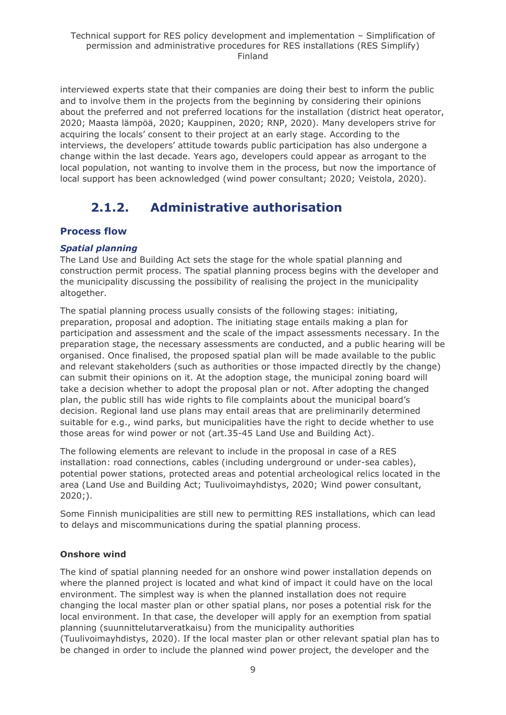interviewed experts state that their companies are doing their best to inform the public and to involve them in the projects from the beginning by considering their opinions about the preferred and not preferred locations for the installation (district heat operator, 2020; Maasta lämpöä, 2020; Kauppinen, 2020; RNP, 2020). Many developers strive for acquiring the locals' consent to their project at an early stage. According to the interviews, the developers' attitude towards public participation has also undergone a change within the last decade. Years ago, developers could appear as arrogant to the local population, not wanting to involve them in the process, but now the importance of local support has been acknowledged (wind power consultant; 2020; Veistola, 2020).

## **2.1.2. Administrative authorisation**

## <span id="page-8-0"></span>**Process flow**

## *Spatial planning*

The Land Use and Building Act sets the stage for the whole spatial planning and construction permit process. The spatial planning process begins with the developer and the municipality discussing the possibility of realising the project in the municipality altogether.

The spatial planning process usually consists of the following stages: initiating, preparation, proposal and adoption. The initiating stage entails making a plan for participation and assessment and the scale of the impact assessments necessary. In the preparation stage, the necessary assessments are conducted, and a public hearing will be organised. Once finalised, the proposed spatial plan will be made available to the public and relevant stakeholders (such as authorities or those impacted directly by the change) can submit their opinions on it. At the adoption stage, the municipal zoning board will take a decision whether to adopt the proposal plan or not. After adopting the changed plan, the public still has wide rights to file complaints about the municipal board's decision. Regional land use plans may entail areas that are preliminarily determined suitable for e.g., wind parks, but municipalities have the right to decide whether to use those areas for wind power or not (art.35-45 Land Use and Building Act).

The following elements are relevant to include in the proposal in case of a RES installation: road connections, cables (including underground or under-sea cables), potential power stations, protected areas and potential archeological relics located in the area (Land Use and Building Act; Tuulivoimayhdistys, 2020; Wind power consultant, 2020;).

Some Finnish municipalities are still new to permitting RES installations, which can lead to delays and miscommunications during the spatial planning process.

## **Onshore wind**

The kind of spatial planning needed for an onshore wind power installation depends on where the planned project is located and what kind of impact it could have on the local environment. The simplest way is when the planned installation does not require changing the local master plan or other spatial plans, nor poses a potential risk for the local environment. In that case, the developer will apply for an exemption from spatial planning (suunnittelutarveratkaisu) from the municipality authorities (Tuulivoimayhdistys, 2020). If the local master plan or other relevant spatial plan has to be changed in order to include the planned wind power project, the developer and the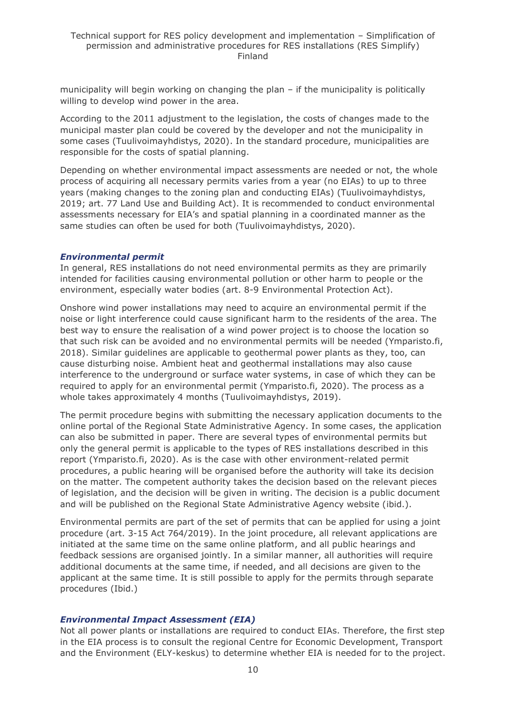municipality will begin working on changing the plan – if the municipality is politically willing to develop wind power in the area.

According to the 2011 adjustment to the legislation, the costs of changes made to the municipal master plan could be covered by the developer and not the municipality in some cases (Tuulivoimayhdistys, 2020). In the standard procedure, municipalities are responsible for the costs of spatial planning.

Depending on whether environmental impact assessments are needed or not, the whole process of acquiring all necessary permits varies from a year (no EIAs) to up to three years (making changes to the zoning plan and conducting EIAs) (Tuulivoimayhdistys, 2019; art. 77 Land Use and Building Act). It is recommended to conduct environmental assessments necessary for EIA's and spatial planning in a coordinated manner as the same studies can often be used for both (Tuulivoimayhdistys, 2020).

#### *Environmental permit*

In general, RES installations do not need environmental permits as they are primarily intended for facilities causing environmental pollution or other harm to people or the environment, especially water bodies (art. 8-9 Environmental Protection Act).

Onshore wind power installations may need to acquire an environmental permit if the noise or light interference could cause significant harm to the residents of the area. The best way to ensure the realisation of a wind power project is to choose the location so that such risk can be avoided and no environmental permits will be needed (Ymparisto.fi, 2018). Similar guidelines are applicable to geothermal power plants as they, too, can cause disturbing noise. Ambient heat and geothermal installations may also cause interference to the underground or surface water systems, in case of which they can be required to apply for an environmental permit (Ymparisto.fi, 2020). The process as a whole takes approximately 4 months (Tuulivoimayhdistys, 2019).

The permit procedure begins with submitting the necessary application documents to the online portal of the Regional State Administrative Agency. In some cases, the application can also be submitted in paper. There are several types of environmental permits but only the general permit is applicable to the types of RES installations described in this report (Ymparisto.fi, 2020). As is the case with other environment-related permit procedures, a public hearing will be organised before the authority will take its decision on the matter. The competent authority takes the decision based on the relevant pieces of legislation, and the decision will be given in writing. The decision is a public document and will be published on the Regional State Administrative Agency website (ibid.).

Environmental permits are part of the set of permits that can be applied for using a joint procedure (art. 3-15 Act 764/2019). In the joint procedure, all relevant applications are initiated at the same time on the same online platform, and all public hearings and feedback sessions are organised jointly. In a similar manner, all authorities will require additional documents at the same time, if needed, and all decisions are given to the applicant at the same time. It is still possible to apply for the permits through separate procedures (Ibid.)

#### *Environmental Impact Assessment (EIA)*

Not all power plants or installations are required to conduct EIAs. Therefore, the first step in the EIA process is to consult the regional Centre for Economic Development, Transport and the Environment (ELY-keskus) to determine whether EIA is needed for to the project.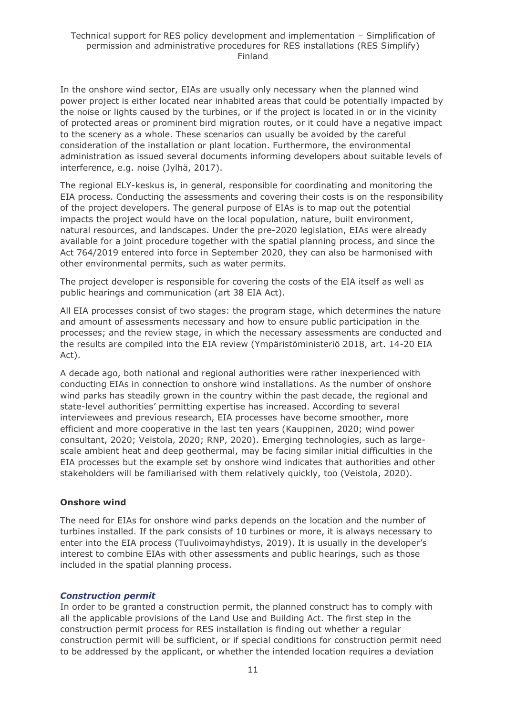In the onshore wind sector, EIAs are usually only necessary when the planned wind power project is either located near inhabited areas that could be potentially impacted by the noise or lights caused by the turbines, or if the project is located in or in the vicinity of protected areas or prominent bird migration routes, or it could have a negative impact to the scenery as a whole. These scenarios can usually be avoided by the careful consideration of the installation or plant location. Furthermore, the environmental administration as issued several documents informing developers about suitable levels of interference, e.g. noise (Jylhä, 2017).

The regional ELY-keskus is, in general, responsible for coordinating and monitoring the EIA process. Conducting the assessments and covering their costs is on the responsibility of the project developers. The general purpose of EIAs is to map out the potential impacts the project would have on the local population, nature, built environment, natural resources, and landscapes. Under the pre-2020 legislation, EIAs were already available for a joint procedure together with the spatial planning process, and since the Act 764/2019 entered into force in September 2020, they can also be harmonised with other environmental permits, such as water permits.

The project developer is responsible for covering the costs of the EIA itself as well as public hearings and communication (art 38 EIA Act).

All EIA processes consist of two stages: the program stage, which determines the nature and amount of assessments necessary and how to ensure public participation in the processes; and the review stage, in which the necessary assessments are conducted and the results are compiled into the EIA review (Ympäristöministeriö 2018, art. 14-20 EIA Act).

A decade ago, both national and regional authorities were rather inexperienced with conducting EIAs in connection to onshore wind installations. As the number of onshore wind parks has steadily grown in the country within the past decade, the regional and state-level authorities' permitting expertise has increased. According to several interviewees and previous research, EIA processes have become smoother, more efficient and more cooperative in the last ten years (Kauppinen, 2020; wind power consultant, 2020; Veistola, 2020; RNP, 2020). Emerging technologies, such as largescale ambient heat and deep geothermal, may be facing similar initial difficulties in the EIA processes but the example set by onshore wind indicates that authorities and other stakeholders will be familiarised with them relatively quickly, too (Veistola, 2020).

### **Onshore wind**

The need for EIAs for onshore wind parks depends on the location and the number of turbines installed. If the park consists of 10 turbines or more, it is always necessary to enter into the EIA process (Tuulivoimayhdistys, 2019). It is usually in the developer's interest to combine EIAs with other assessments and public hearings, such as those included in the spatial planning process.

#### *Construction permit*

In order to be granted a construction permit, the planned construct has to comply with all the applicable provisions of the Land Use and Building Act. The first step in the construction permit process for RES installation is finding out whether a regular construction permit will be sufficient, or if special conditions for construction permit need to be addressed by the applicant, or whether the intended location requires a deviation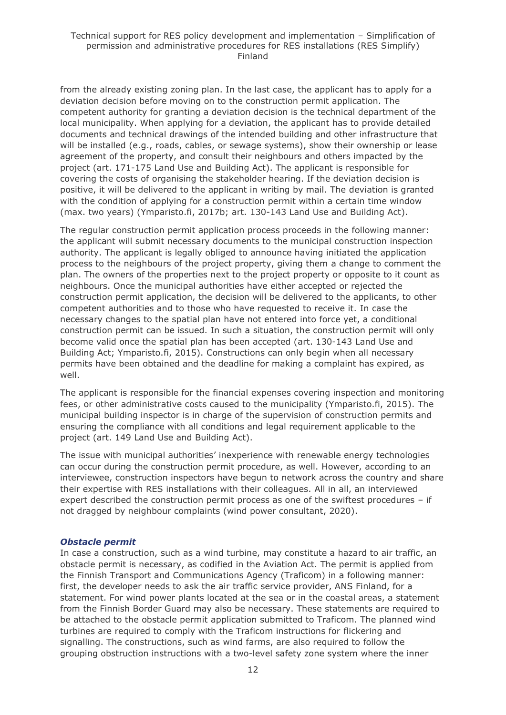from the already existing zoning plan. In the last case, the applicant has to apply for a deviation decision before moving on to the construction permit application. The competent authority for granting a deviation decision is the technical department of the local municipality. When applying for a deviation, the applicant has to provide detailed documents and technical drawings of the intended building and other infrastructure that will be installed (e.g., roads, cables, or sewage systems), show their ownership or lease agreement of the property, and consult their neighbours and others impacted by the project (art. 171-175 Land Use and Building Act). The applicant is responsible for covering the costs of organising the stakeholder hearing. If the deviation decision is positive, it will be delivered to the applicant in writing by mail. The deviation is granted with the condition of applying for a construction permit within a certain time window (max. two years) (Ymparisto.fi, 2017b; art. 130-143 Land Use and Building Act).

The regular construction permit application process proceeds in the following manner: the applicant will submit necessary documents to the municipal construction inspection authority. The applicant is legally obliged to announce having initiated the application process to the neighbours of the project property, giving them a change to comment the plan. The owners of the properties next to the project property or opposite to it count as neighbours. Once the municipal authorities have either accepted or rejected the construction permit application, the decision will be delivered to the applicants, to other competent authorities and to those who have requested to receive it. In case the necessary changes to the spatial plan have not entered into force yet, a conditional construction permit can be issued. In such a situation, the construction permit will only become valid once the spatial plan has been accepted (art. 130-143 Land Use and Building Act; Ymparisto.fi, 2015). Constructions can only begin when all necessary permits have been obtained and the deadline for making a complaint has expired, as well.

The applicant is responsible for the financial expenses covering inspection and monitoring fees, or other administrative costs caused to the municipality (Ymparisto.fi, 2015). The municipal building inspector is in charge of the supervision of construction permits and ensuring the compliance with all conditions and legal requirement applicable to the project (art. 149 Land Use and Building Act).

The issue with municipal authorities' inexperience with renewable energy technologies can occur during the construction permit procedure, as well. However, according to an interviewee, construction inspectors have begun to network across the country and share their expertise with RES installations with their colleagues. All in all, an interviewed expert described the construction permit process as one of the swiftest procedures – if not dragged by neighbour complaints (wind power consultant, 2020).

#### *Obstacle permit*

In case a construction, such as a wind turbine, may constitute a hazard to air traffic, an obstacle permit is necessary, as codified in the Aviation Act. The permit is applied from the Finnish Transport and Communications Agency (Traficom) in a following manner: first, the developer needs to ask the air traffic service provider, ANS Finland, for a statement. For wind power plants located at the sea or in the coastal areas, a statement from the Finnish Border Guard may also be necessary. These statements are required to be attached to the obstacle permit application submitted to Traficom. The planned wind turbines are required to comply with the Traficom instructions for flickering and signalling. The constructions, such as wind farms, are also required to follow the grouping obstruction instructions with a two-level safety zone system where the inner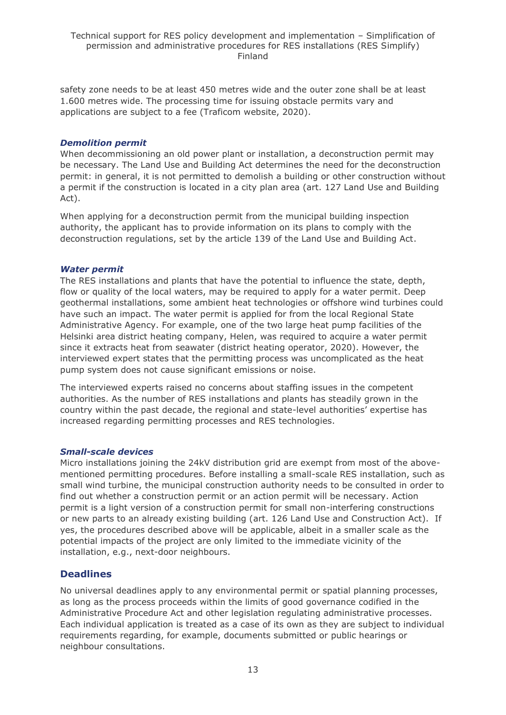safety zone needs to be at least 450 metres wide and the outer zone shall be at least 1.600 metres wide. The processing time for issuing obstacle permits vary and applications are subject to a fee (Traficom website, 2020).

#### *Demolition permit*

When decommissioning an old power plant or installation, a deconstruction permit may be necessary. The Land Use and Building Act determines the need for the deconstruction permit: in general, it is not permitted to demolish a building or other construction without a permit if the construction is located in a city plan area (art. 127 Land Use and Building Act).

When applying for a deconstruction permit from the municipal building inspection authority, the applicant has to provide information on its plans to comply with the deconstruction regulations, set by the article 139 of the Land Use and Building Act.

#### *Water permit*

The RES installations and plants that have the potential to influence the state, depth, flow or quality of the local waters, may be required to apply for a water permit. Deep geothermal installations, some ambient heat technologies or offshore wind turbines could have such an impact. The water permit is applied for from the local Regional State Administrative Agency. For example, one of the two large heat pump facilities of the Helsinki area district heating company, Helen, was required to acquire a water permit since it extracts heat from seawater (district heating operator, 2020). However, the interviewed expert states that the permitting process was uncomplicated as the heat pump system does not cause significant emissions or noise.

The interviewed experts raised no concerns about staffing issues in the competent authorities. As the number of RES installations and plants has steadily grown in the country within the past decade, the regional and state-level authorities' expertise has increased regarding permitting processes and RES technologies.

### *Small-scale devices*

Micro installations joining the 24kV distribution grid are exempt from most of the abovementioned permitting procedures. Before installing a small-scale RES installation, such as small wind turbine, the municipal construction authority needs to be consulted in order to find out whether a construction permit or an action permit will be necessary. Action permit is a light version of a construction permit for small non-interfering constructions or new parts to an already existing building (art. 126 Land Use and Construction Act). If yes, the procedures described above will be applicable, albeit in a smaller scale as the potential impacts of the project are only limited to the immediate vicinity of the installation, e.g., next-door neighbours.

## **Deadlines**

No universal deadlines apply to any environmental permit or spatial planning processes, as long as the process proceeds within the limits of good governance codified in the Administrative Procedure Act and other legislation regulating administrative processes. Each individual application is treated as a case of its own as they are subject to individual requirements regarding, for example, documents submitted or public hearings or neighbour consultations.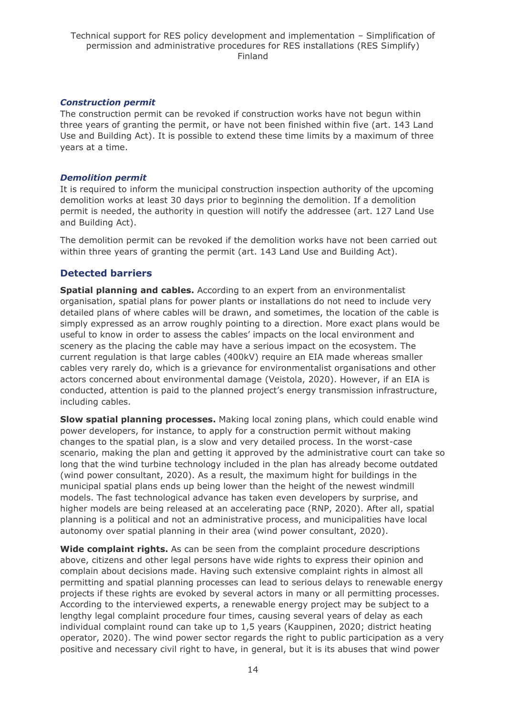### *Construction permit*

The construction permit can be revoked if construction works have not begun within three years of granting the permit, or have not been finished within five (art. 143 Land Use and Building Act). It is possible to extend these time limits by a maximum of three years at a time.

#### *Demolition permit*

It is required to inform the municipal construction inspection authority of the upcoming demolition works at least 30 days prior to beginning the demolition. If a demolition permit is needed, the authority in question will notify the addressee (art. 127 Land Use and Building Act).

The demolition permit can be revoked if the demolition works have not been carried out within three years of granting the permit (art. 143 Land Use and Building Act).

## **Detected barriers**

**Spatial planning and cables.** According to an expert from an environmentalist organisation, spatial plans for power plants or installations do not need to include very detailed plans of where cables will be drawn, and sometimes, the location of the cable is simply expressed as an arrow roughly pointing to a direction. More exact plans would be useful to know in order to assess the cables' impacts on the local environment and scenery as the placing the cable may have a serious impact on the ecosystem. The current regulation is that large cables (400kV) require an EIA made whereas smaller cables very rarely do, which is a grievance for environmentalist organisations and other actors concerned about environmental damage (Veistola, 2020). However, if an EIA is conducted, attention is paid to the planned project's energy transmission infrastructure, including cables.

**Slow spatial planning processes.** Making local zoning plans, which could enable wind power developers, for instance, to apply for a construction permit without making changes to the spatial plan, is a slow and very detailed process. In the worst-case scenario, making the plan and getting it approved by the administrative court can take so long that the wind turbine technology included in the plan has already become outdated (wind power consultant, 2020). As a result, the maximum hight for buildings in the municipal spatial plans ends up being lower than the height of the newest windmill models. The fast technological advance has taken even developers by surprise, and higher models are being released at an accelerating pace (RNP, 2020). After all, spatial planning is a political and not an administrative process, and municipalities have local autonomy over spatial planning in their area (wind power consultant, 2020).

**Wide complaint rights.** As can be seen from the complaint procedure descriptions above, citizens and other legal persons have wide rights to express their opinion and complain about decisions made. Having such extensive complaint rights in almost all permitting and spatial planning processes can lead to serious delays to renewable energy projects if these rights are evoked by several actors in many or all permitting processes. According to the interviewed experts, a renewable energy project may be subject to a lengthy legal complaint procedure four times, causing several years of delay as each individual complaint round can take up to 1,5 years (Kauppinen, 2020; district heating operator, 2020). The wind power sector regards the right to public participation as a very positive and necessary civil right to have, in general, but it is its abuses that wind power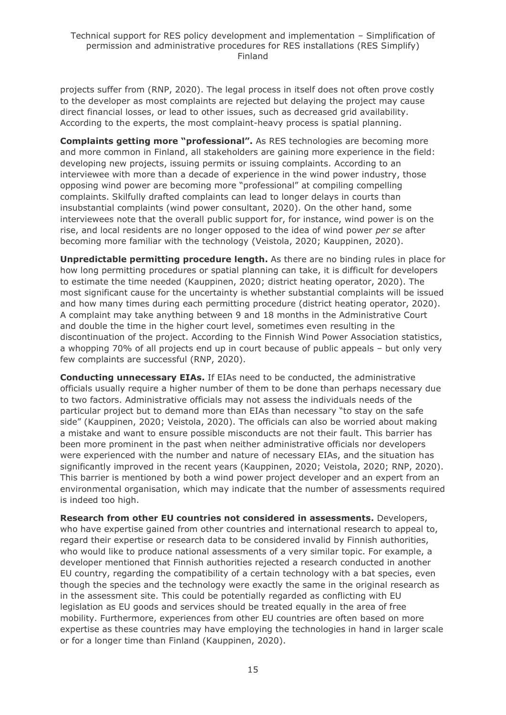projects suffer from (RNP, 2020). The legal process in itself does not often prove costly to the developer as most complaints are rejected but delaying the project may cause direct financial losses, or lead to other issues, such as decreased grid availability. According to the experts, the most complaint-heavy process is spatial planning.

**Complaints getting more "professional".** As RES technologies are becoming more and more common in Finland, all stakeholders are gaining more experience in the field: developing new projects, issuing permits or issuing complaints. According to an interviewee with more than a decade of experience in the wind power industry, those opposing wind power are becoming more "professional" at compiling compelling complaints. Skilfully drafted complaints can lead to longer delays in courts than insubstantial complaints (wind power consultant, 2020). On the other hand, some interviewees note that the overall public support for, for instance, wind power is on the rise, and local residents are no longer opposed to the idea of wind power *per se* after becoming more familiar with the technology (Veistola, 2020; Kauppinen, 2020).

**Unpredictable permitting procedure length.** As there are no binding rules in place for how long permitting procedures or spatial planning can take, it is difficult for developers to estimate the time needed (Kauppinen, 2020; district heating operator, 2020). The most significant cause for the uncertainty is whether substantial complaints will be issued and how many times during each permitting procedure (district heating operator, 2020). A complaint may take anything between 9 and 18 months in the Administrative Court and double the time in the higher court level, sometimes even resulting in the discontinuation of the project. According to the Finnish Wind Power Association statistics, a whopping 70% of all projects end up in court because of public appeals – but only very few complaints are successful (RNP, 2020).

**Conducting unnecessary EIAs.** If EIAs need to be conducted, the administrative officials usually require a higher number of them to be done than perhaps necessary due to two factors. Administrative officials may not assess the individuals needs of the particular project but to demand more than EIAs than necessary "to stay on the safe side" (Kauppinen, 2020; Veistola, 2020). The officials can also be worried about making a mistake and want to ensure possible misconducts are not their fault. This barrier has been more prominent in the past when neither administrative officials nor developers were experienced with the number and nature of necessary EIAs, and the situation has significantly improved in the recent years (Kauppinen, 2020; Veistola, 2020; RNP, 2020). This barrier is mentioned by both a wind power project developer and an expert from an environmental organisation, which may indicate that the number of assessments required is indeed too high.

**Research from other EU countries not considered in assessments.** Developers, who have expertise gained from other countries and international research to appeal to, regard their expertise or research data to be considered invalid by Finnish authorities, who would like to produce national assessments of a very similar topic. For example, a developer mentioned that Finnish authorities rejected a research conducted in another EU country, regarding the compatibility of a certain technology with a bat species, even though the species and the technology were exactly the same in the original research as in the assessment site. This could be potentially regarded as conflicting with EU legislation as EU goods and services should be treated equally in the area of free mobility. Furthermore, experiences from other EU countries are often based on more expertise as these countries may have employing the technologies in hand in larger scale or for a longer time than Finland (Kauppinen, 2020).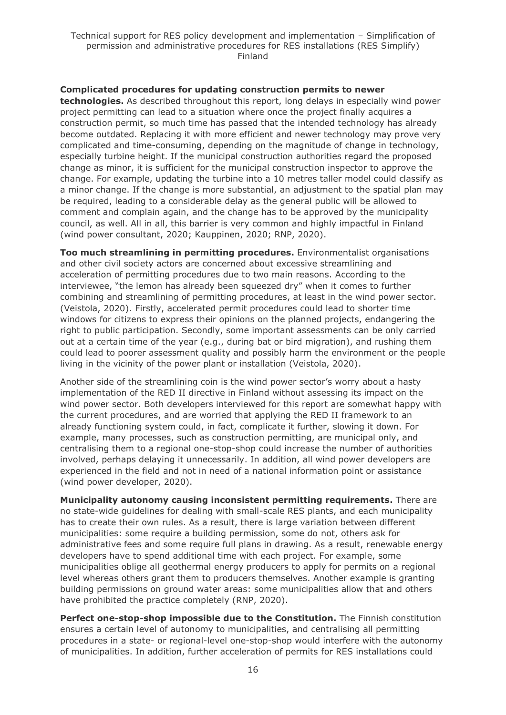#### **Complicated procedures for updating construction permits to newer**

**technologies.** As described throughout this report, long delays in especially wind power project permitting can lead to a situation where once the project finally acquires a construction permit, so much time has passed that the intended technology has already become outdated. Replacing it with more efficient and newer technology may prove very complicated and time-consuming, depending on the magnitude of change in technology, especially turbine height. If the municipal construction authorities regard the proposed change as minor, it is sufficient for the municipal construction inspector to approve the change. For example, updating the turbine into a 10 metres taller model could classify as a minor change. If the change is more substantial, an adjustment to the spatial plan may be required, leading to a considerable delay as the general public will be allowed to comment and complain again, and the change has to be approved by the municipality council, as well. All in all, this barrier is very common and highly impactful in Finland (wind power consultant, 2020; Kauppinen, 2020; RNP, 2020).

**Too much streamlining in permitting procedures.** Environmentalist organisations and other civil society actors are concerned about excessive streamlining and acceleration of permitting procedures due to two main reasons. According to the interviewee, "the lemon has already been squeezed dry" when it comes to further combining and streamlining of permitting procedures, at least in the wind power sector. (Veistola, 2020). Firstly, accelerated permit procedures could lead to shorter time windows for citizens to express their opinions on the planned projects, endangering the right to public participation. Secondly, some important assessments can be only carried out at a certain time of the year (e.g., during bat or bird migration), and rushing them could lead to poorer assessment quality and possibly harm the environment or the people living in the vicinity of the power plant or installation (Veistola, 2020).

Another side of the streamlining coin is the wind power sector's worry about a hasty implementation of the RED II directive in Finland without assessing its impact on the wind power sector. Both developers interviewed for this report are somewhat happy with the current procedures, and are worried that applying the RED II framework to an already functioning system could, in fact, complicate it further, slowing it down. For example, many processes, such as construction permitting, are municipal only, and centralising them to a regional one-stop-shop could increase the number of authorities involved, perhaps delaying it unnecessarily. In addition, all wind power developers are experienced in the field and not in need of a national information point or assistance (wind power developer, 2020).

**Municipality autonomy causing inconsistent permitting requirements.** There are no state-wide guidelines for dealing with small-scale RES plants, and each municipality has to create their own rules. As a result, there is large variation between different municipalities: some require a building permission, some do not, others ask for administrative fees and some require full plans in drawing. As a result, renewable energy developers have to spend additional time with each project. For example, some municipalities oblige all geothermal energy producers to apply for permits on a regional level whereas others grant them to producers themselves. Another example is granting building permissions on ground water areas: some municipalities allow that and others have prohibited the practice completely (RNP, 2020).

**Perfect one-stop-shop impossible due to the Constitution.** The Finnish constitution ensures a certain level of autonomy to municipalities, and centralising all permitting procedures in a state- or regional-level one-stop-shop would interfere with the autonomy of municipalities. In addition, further acceleration of permits for RES installations could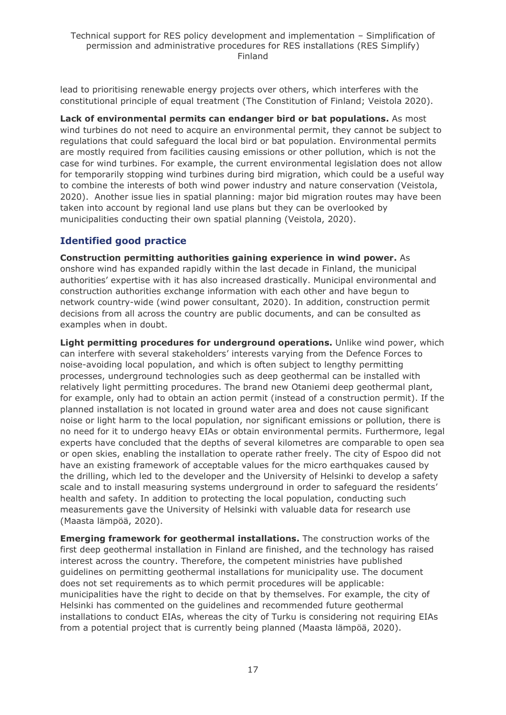lead to prioritising renewable energy projects over others, which interferes with the constitutional principle of equal treatment (The Constitution of Finland; Veistola 2020).

**Lack of environmental permits can endanger bird or bat populations.** As most wind turbines do not need to acquire an environmental permit, they cannot be subject to regulations that could safeguard the local bird or bat population. Environmental permits are mostly required from facilities causing emissions or other pollution, which is not the case for wind turbines. For example, the current environmental legislation does not allow for temporarily stopping wind turbines during bird migration, which could be a useful way to combine the interests of both wind power industry and nature conservation (Veistola, 2020). Another issue lies in spatial planning: major bid migration routes may have been taken into account by regional land use plans but they can be overlooked by municipalities conducting their own spatial planning (Veistola, 2020).

## **Identified good practice**

**Construction permitting authorities gaining experience in wind power.** As onshore wind has expanded rapidly within the last decade in Finland, the municipal authorities' expertise with it has also increased drastically. Municipal environmental and construction authorities exchange information with each other and have begun to network country-wide (wind power consultant, 2020). In addition, construction permit decisions from all across the country are public documents, and can be consulted as examples when in doubt.

**Light permitting procedures for underground operations.** Unlike wind power, which can interfere with several stakeholders' interests varying from the Defence Forces to noise-avoiding local population, and which is often subject to lengthy permitting processes, underground technologies such as deep geothermal can be installed with relatively light permitting procedures. The brand new Otaniemi deep geothermal plant, for example, only had to obtain an action permit (instead of a construction permit). If the planned installation is not located in ground water area and does not cause significant noise or light harm to the local population, nor significant emissions or pollution, there is no need for it to undergo heavy EIAs or obtain environmental permits. Furthermore, legal experts have concluded that the depths of several kilometres are comparable to open sea or open skies, enabling the installation to operate rather freely. The city of Espoo did not have an existing framework of acceptable values for the micro earthquakes caused by the drilling, which led to the developer and the University of Helsinki to develop a safety scale and to install measuring systems underground in order to safeguard the residents' health and safety. In addition to protecting the local population, conducting such measurements gave the University of Helsinki with valuable data for research use (Maasta lämpöä, 2020).

**Emerging framework for geothermal installations.** The construction works of the first deep geothermal installation in Finland are finished, and the technology has raised interest across the country. Therefore, the competent ministries have published guidelines on permitting geothermal installations for municipality use. The document does not set requirements as to which permit procedures will be applicable: municipalities have the right to decide on that by themselves. For example, the city of Helsinki has commented on the guidelines and recommended future geothermal installations to conduct EIAs, whereas the city of Turku is considering not requiring EIAs from a potential project that is currently being planned (Maasta lämpöä, 2020).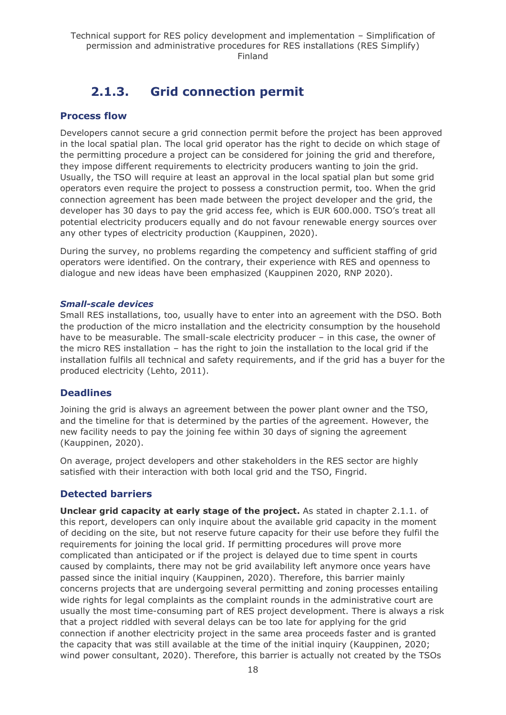## **2.1.3. Grid connection permit**

## <span id="page-17-0"></span>**Process flow**

Developers cannot secure a grid connection permit before the project has been approved in the local spatial plan. The local grid operator has the right to decide on which stage of the permitting procedure a project can be considered for joining the grid and therefore, they impose different requirements to electricity producers wanting to join the grid. Usually, the TSO will require at least an approval in the local spatial plan but some grid operators even require the project to possess a construction permit, too. When the grid connection agreement has been made between the project developer and the grid, the developer has 30 days to pay the grid access fee, which is EUR 600.000. TSO's treat all potential electricity producers equally and do not favour renewable energy sources over any other types of electricity production (Kauppinen, 2020).

During the survey, no problems regarding the competency and sufficient staffing of grid operators were identified. On the contrary, their experience with RES and openness to dialogue and new ideas have been emphasized (Kauppinen 2020, RNP 2020).

### *Small-scale devices*

Small RES installations, too, usually have to enter into an agreement with the DSO. Both the production of the micro installation and the electricity consumption by the household have to be measurable. The small-scale electricity producer – in this case, the owner of the micro RES installation – has the right to join the installation to the local grid if the installation fulfils all technical and safety requirements, and if the grid has a buyer for the produced electricity (Lehto, 2011).

## **Deadlines**

Joining the grid is always an agreement between the power plant owner and the TSO, and the timeline for that is determined by the parties of the agreement. However, the new facility needs to pay the joining fee within 30 days of signing the agreement (Kauppinen, 2020).

On average, project developers and other stakeholders in the RES sector are highly satisfied with their interaction with both local grid and the TSO, Fingrid.

## **Detected barriers**

**Unclear grid capacity at early stage of the project.** As stated in chapter 2.1.1. of this report, developers can only inquire about the available grid capacity in the moment of deciding on the site, but not reserve future capacity for their use before they fulfil the requirements for joining the local grid. If permitting procedures will prove more complicated than anticipated or if the project is delayed due to time spent in courts caused by complaints, there may not be grid availability left anymore once years have passed since the initial inquiry (Kauppinen, 2020). Therefore, this barrier mainly concerns projects that are undergoing several permitting and zoning processes entailing wide rights for legal complaints as the complaint rounds in the administrative court are usually the most time-consuming part of RES project development. There is always a risk that a project riddled with several delays can be too late for applying for the grid connection if another electricity project in the same area proceeds faster and is granted the capacity that was still available at the time of the initial inquiry (Kauppinen, 2020; wind power consultant, 2020). Therefore, this barrier is actually not created by the TSOs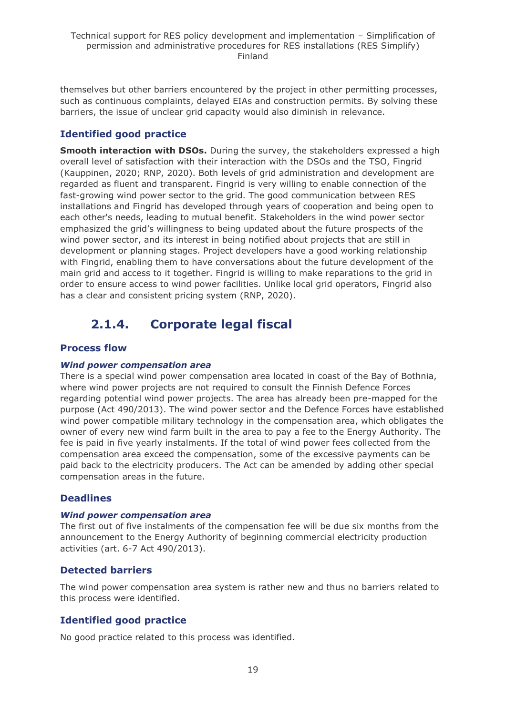themselves but other barriers encountered by the project in other permitting processes, such as continuous complaints, delayed EIAs and construction permits. By solving these barriers, the issue of unclear grid capacity would also diminish in relevance.

## **Identified good practice**

**Smooth interaction with DSOs.** During the survey, the stakeholders expressed a high overall level of satisfaction with their interaction with the DSOs and the TSO, Fingrid (Kauppinen, 2020; RNP, 2020). Both levels of grid administration and development are regarded as fluent and transparent. Fingrid is very willing to enable connection of the fast-growing wind power sector to the grid. The good communication between RES installations and Fingrid has developed through years of cooperation and being open to each other's needs, leading to mutual benefit. Stakeholders in the wind power sector emphasized the grid's willingness to being updated about the future prospects of the wind power sector, and its interest in being notified about projects that are still in development or planning stages. Project developers have a good working relationship with Fingrid, enabling them to have conversations about the future development of the main grid and access to it together. Fingrid is willing to make reparations to the grid in order to ensure access to wind power facilities. Unlike local grid operators, Fingrid also has a clear and consistent pricing system (RNP, 2020).

## **2.1.4. Corporate legal fiscal**

## <span id="page-18-0"></span>**Process flow**

### *Wind power compensation area*

There is a special wind power compensation area located in coast of the Bay of Bothnia, where wind power projects are not required to consult the Finnish Defence Forces regarding potential wind power projects. The area has already been pre-mapped for the purpose (Act 490/2013). The wind power sector and the Defence Forces have established wind power compatible military technology in the compensation area, which obligates the owner of every new wind farm built in the area to pay a fee to the Energy Authority. The fee is paid in five yearly instalments. If the total of wind power fees collected from the compensation area exceed the compensation, some of the excessive payments can be paid back to the electricity producers. The Act can be amended by adding other special compensation areas in the future.

## **Deadlines**

#### *Wind power compensation area*

The first out of five instalments of the compensation fee will be due six months from the announcement to the Energy Authority of beginning commercial electricity production activities (art. 6-7 Act 490/2013).

### **Detected barriers**

The wind power compensation area system is rather new and thus no barriers related to this process were identified.

## **Identified good practice**

No good practice related to this process was identified.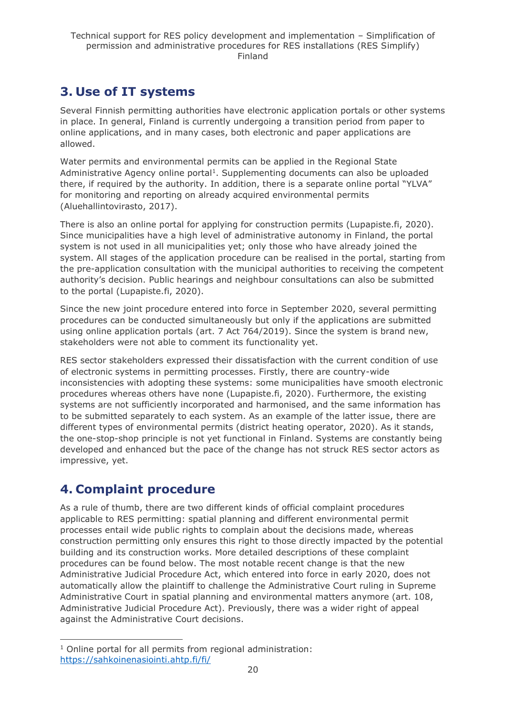## <span id="page-19-0"></span>**3. Use of IT systems**

Several Finnish permitting authorities have electronic application portals or other systems in place. In general, Finland is currently undergoing a transition period from paper to online applications, and in many cases, both electronic and paper applications are allowed.

Water permits and environmental permits can be applied in the Regional State Administrative Agency online portal<sup>1</sup>. Supplementing documents can also be uploaded there, if required by the authority. In addition, there is a separate online portal "YLVA" for monitoring and reporting on already acquired environmental permits (Aluehallintovirasto, 2017).

There is also an online portal for applying for construction permits (Lupapiste.fi, 2020). Since municipalities have a high level of administrative autonomy in Finland, the portal system is not used in all municipalities yet; only those who have already joined the system. All stages of the application procedure can be realised in the portal, starting from the pre-application consultation with the municipal authorities to receiving the competent authority's decision. Public hearings and neighbour consultations can also be submitted to the portal (Lupapiste.fi, 2020).

Since the new joint procedure entered into force in September 2020, several permitting procedures can be conducted simultaneously but only if the applications are submitted using online application portals (art. 7 Act 764/2019). Since the system is brand new, stakeholders were not able to comment its functionality yet.

RES sector stakeholders expressed their dissatisfaction with the current condition of use of electronic systems in permitting processes. Firstly, there are country-wide inconsistencies with adopting these systems: some municipalities have smooth electronic procedures whereas others have none (Lupapiste.fi, 2020). Furthermore, the existing systems are not sufficiently incorporated and harmonised, and the same information has to be submitted separately to each system. As an example of the latter issue, there are different types of environmental permits (district heating operator, 2020). As it stands, the one-stop-shop principle is not yet functional in Finland. Systems are constantly being developed and enhanced but the pace of the change has not struck RES sector actors as impressive, yet.

## <span id="page-19-1"></span>**4. Complaint procedure**

As a rule of thumb, there are two different kinds of official complaint procedures applicable to RES permitting: spatial planning and different environmental permit processes entail wide public rights to complain about the decisions made, whereas construction permitting only ensures this right to those directly impacted by the potential building and its construction works. More detailed descriptions of these complaint procedures can be found below. The most notable recent change is that the new Administrative Judicial Procedure Act, which entered into force in early 2020, does not automatically allow the plaintiff to challenge the Administrative Court ruling in Supreme Administrative Court in spatial planning and environmental matters anymore (art. 108, Administrative Judicial Procedure Act). Previously, there was a wider right of appeal against the Administrative Court decisions.

<sup>&</sup>lt;sup>1</sup> Online portal for all permits from regional administration: <https://sahkoinenasiointi.ahtp.fi/fi/>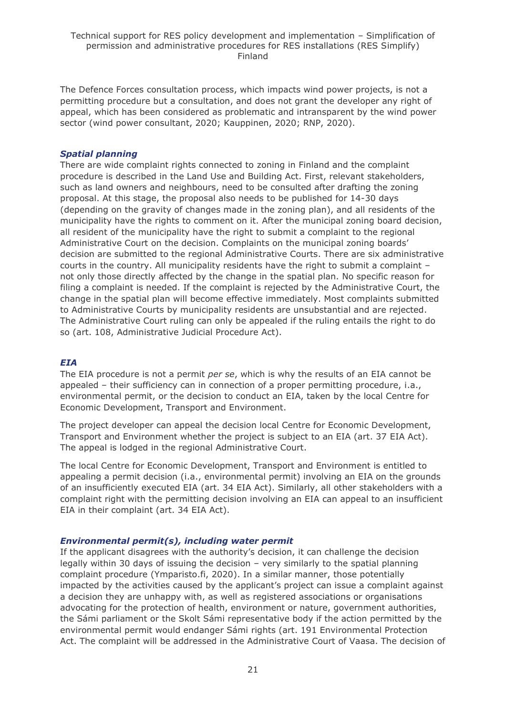The Defence Forces consultation process, which impacts wind power projects, is not a permitting procedure but a consultation, and does not grant the developer any right of appeal, which has been considered as problematic and intransparent by the wind power sector (wind power consultant, 2020; Kauppinen, 2020; RNP, 2020).

### *Spatial planning*

There are wide complaint rights connected to zoning in Finland and the complaint procedure is described in the Land Use and Building Act. First, relevant stakeholders, such as land owners and neighbours, need to be consulted after drafting the zoning proposal. At this stage, the proposal also needs to be published for 14-30 days (depending on the gravity of changes made in the zoning plan), and all residents of the municipality have the rights to comment on it. After the municipal zoning board decision, all resident of the municipality have the right to submit a complaint to the regional Administrative Court on the decision. Complaints on the municipal zoning boards' decision are submitted to the regional Administrative Courts. There are six administrative courts in the country. All municipality residents have the right to submit a complaint – not only those directly affected by the change in the spatial plan. No specific reason for filing a complaint is needed. If the complaint is rejected by the Administrative Court, the change in the spatial plan will become effective immediately. Most complaints submitted to Administrative Courts by municipality residents are unsubstantial and are rejected. The Administrative Court ruling can only be appealed if the ruling entails the right to do so (art. 108, Administrative Judicial Procedure Act).

## *EIA*

The EIA procedure is not a permit *per se*, which is why the results of an EIA cannot be appealed – their sufficiency can in connection of a proper permitting procedure, i.a., environmental permit, or the decision to conduct an EIA, taken by the local Centre for Economic Development, Transport and Environment.

The project developer can appeal the decision local Centre for Economic Development, Transport and Environment whether the project is subject to an EIA (art. 37 EIA Act). The appeal is lodged in the regional Administrative Court.

The local Centre for Economic Development, Transport and Environment is entitled to appealing a permit decision (i.a., environmental permit) involving an EIA on the grounds of an insufficiently executed EIA (art. 34 EIA Act). Similarly, all other stakeholders with a complaint right with the permitting decision involving an EIA can appeal to an insufficient EIA in their complaint (art. 34 EIA Act).

### *Environmental permit(s), including water permit*

If the applicant disagrees with the authority's decision, it can challenge the decision legally within 30 days of issuing the decision – very similarly to the spatial planning complaint procedure (Ymparisto.fi, 2020). In a similar manner, those potentially impacted by the activities caused by the applicant's project can issue a complaint against a decision they are unhappy with, as well as registered associations or organisations advocating for the protection of health, environment or nature, government authorities, the Sámi parliament or the Skolt Sámi representative body if the action permitted by the environmental permit would endanger Sámi rights (art. 191 Environmental Protection Act. The complaint will be addressed in the Administrative Court of Vaasa. The decision of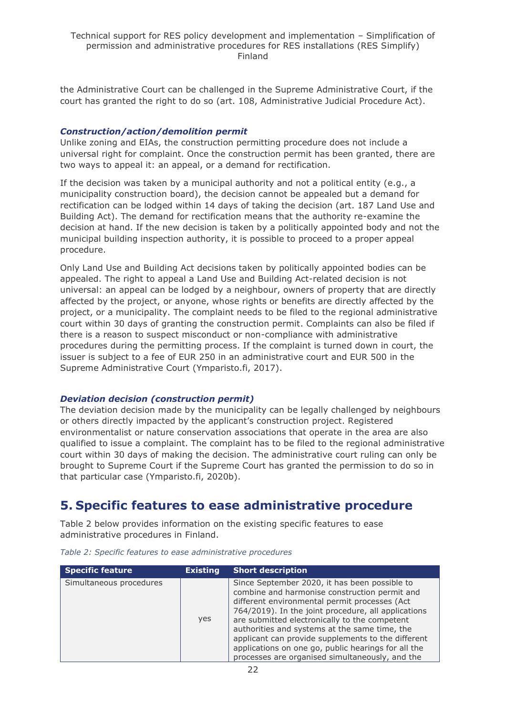the Administrative Court can be challenged in the Supreme Administrative Court, if the court has granted the right to do so (art. 108, Administrative Judicial Procedure Act).

#### *Construction/action/demolition permit*

Unlike zoning and EIAs, the construction permitting procedure does not include a universal right for complaint. Once the construction permit has been granted, there are two ways to appeal it: an appeal, or a demand for rectification.

If the decision was taken by a municipal authority and not a political entity (e.g., a municipality construction board), the decision cannot be appealed but a demand for rectification can be lodged within 14 days of taking the decision (art. 187 Land Use and Building Act). The demand for rectification means that the authority re-examine the decision at hand. If the new decision is taken by a politically appointed body and not the municipal building inspection authority, it is possible to proceed to a proper appeal procedure.

Only Land Use and Building Act decisions taken by politically appointed bodies can be appealed. The right to appeal a Land Use and Building Act-related decision is not universal: an appeal can be lodged by a neighbour, owners of property that are directly affected by the project, or anyone, whose rights or benefits are directly affected by the project, or a municipality. The complaint needs to be filed to the regional administrative court within 30 days of granting the construction permit. Complaints can also be filed if there is a reason to suspect misconduct or non-compliance with administrative procedures during the permitting process. If the complaint is turned down in court, the issuer is subject to a fee of EUR 250 in an administrative court and EUR 500 in the Supreme Administrative Court (Ymparisto.fi, 2017).

### *Deviation decision (construction permit)*

The deviation decision made by the municipality can be legally challenged by neighbours or others directly impacted by the applicant's construction project. Registered environmentalist or nature conservation associations that operate in the area are also qualified to issue a complaint. The complaint has to be filed to the regional administrative court within 30 days of making the decision. The administrative court ruling can only be brought to Supreme Court if the Supreme Court has granted the permission to do so in that particular case (Ymparisto.fi, 2020b).

## <span id="page-21-0"></span>**5. Specific features to ease administrative procedure**

Table 2 below provides information on the existing specific features to ease administrative procedures in Finland.

| <b>Specific feature</b> | <b>Existing</b> | <b>Short description</b>                                                                                                                                                                                                                                                                                                                                                                                                                                                 |
|-------------------------|-----------------|--------------------------------------------------------------------------------------------------------------------------------------------------------------------------------------------------------------------------------------------------------------------------------------------------------------------------------------------------------------------------------------------------------------------------------------------------------------------------|
| Simultaneous procedures | yes             | Since September 2020, it has been possible to<br>combine and harmonise construction permit and<br>different environmental permit processes (Act<br>764/2019). In the joint procedure, all applications<br>are submitted electronically to the competent<br>authorities and systems at the same time, the<br>applicant can provide supplements to the different<br>applications on one go, public hearings for all the<br>processes are organised simultaneously, and the |

*Table 2: Specific features to ease administrative procedures*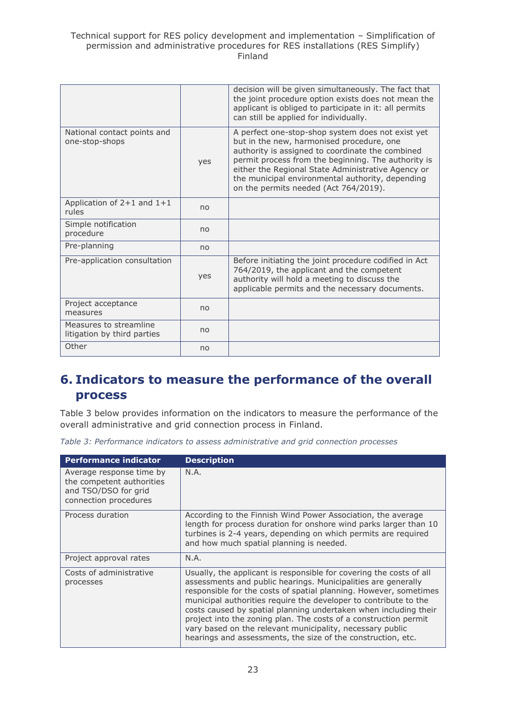|                                                       |     | decision will be given simultaneously. The fact that<br>the joint procedure option exists does not mean the<br>applicant is obliged to participate in it: all permits<br>can still be applied for individually.                                                                                                                                              |
|-------------------------------------------------------|-----|--------------------------------------------------------------------------------------------------------------------------------------------------------------------------------------------------------------------------------------------------------------------------------------------------------------------------------------------------------------|
| National contact points and<br>one-stop-shops         | yes | A perfect one-stop-shop system does not exist yet<br>but in the new, harmonised procedure, one<br>authority is assigned to coordinate the combined<br>permit process from the beginning. The authority is<br>either the Regional State Administrative Agency or<br>the municipal environmental authority, depending<br>on the permits needed (Act 764/2019). |
| Application of $2+1$ and $1+1$<br>rules               | no  |                                                                                                                                                                                                                                                                                                                                                              |
| Simple notification<br>procedure                      | no  |                                                                                                                                                                                                                                                                                                                                                              |
| Pre-planning                                          | no  |                                                                                                                                                                                                                                                                                                                                                              |
| Pre-application consultation                          | yes | Before initiating the joint procedure codified in Act<br>764/2019, the applicant and the competent<br>authority will hold a meeting to discuss the<br>applicable permits and the necessary documents.                                                                                                                                                        |
| Project acceptance<br>measures                        | no  |                                                                                                                                                                                                                                                                                                                                                              |
| Measures to streamline<br>litigation by third parties | no  |                                                                                                                                                                                                                                                                                                                                                              |
| Other                                                 | no  |                                                                                                                                                                                                                                                                                                                                                              |

## <span id="page-22-0"></span>**6. Indicators to measure the performance of the overall process**

Table 3 below provides information on the indicators to measure the performance of the overall administrative and grid connection process in Finland.

|  |  | Table 3: Performance indicators to assess administrative and grid connection processes |  |  |
|--|--|----------------------------------------------------------------------------------------|--|--|
|  |  |                                                                                        |  |  |

| <b>Performance indicator</b>                                                                           | <b>Description</b>                                                                                                                                                                                                                                                                                                                                                                                                                                                                                                                                 |
|--------------------------------------------------------------------------------------------------------|----------------------------------------------------------------------------------------------------------------------------------------------------------------------------------------------------------------------------------------------------------------------------------------------------------------------------------------------------------------------------------------------------------------------------------------------------------------------------------------------------------------------------------------------------|
| Average response time by<br>the competent authorities<br>and TSO/DSO for grid<br>connection procedures | N.A.                                                                                                                                                                                                                                                                                                                                                                                                                                                                                                                                               |
| Process duration                                                                                       | According to the Finnish Wind Power Association, the average<br>length for process duration for onshore wind parks larger than 10<br>turbines is 2-4 years, depending on which permits are required<br>and how much spatial planning is needed.                                                                                                                                                                                                                                                                                                    |
| Project approval rates                                                                                 | N.A.                                                                                                                                                                                                                                                                                                                                                                                                                                                                                                                                               |
| Costs of administrative<br>processes                                                                   | Usually, the applicant is responsible for covering the costs of all<br>assessments and public hearings. Municipalities are generally<br>responsible for the costs of spatial planning. However, sometimes<br>municipal authorities require the developer to contribute to the<br>costs caused by spatial planning undertaken when including their<br>project into the zoning plan. The costs of a construction permit<br>vary based on the relevant municipality, necessary public<br>hearings and assessments, the size of the construction, etc. |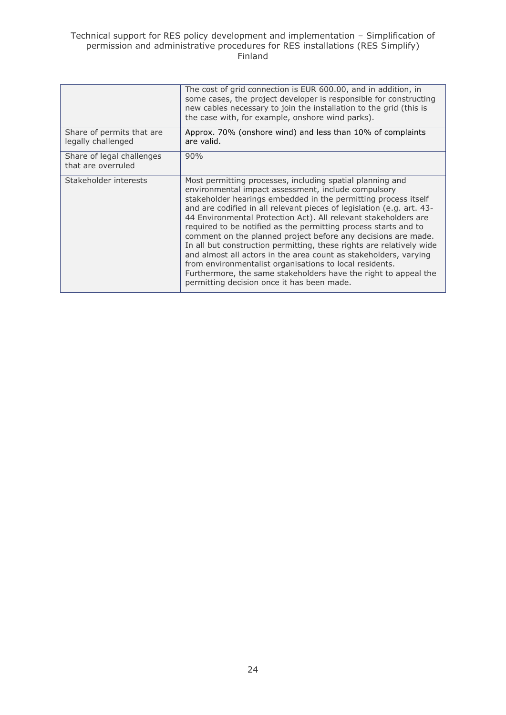|                                                 | The cost of grid connection is EUR 600.00, and in addition, in<br>some cases, the project developer is responsible for constructing<br>new cables necessary to join the installation to the grid (this is<br>the case with, for example, onshore wind parks).                                                                                                                                                                                                                                                                                                                                                                                                                                                                                                                              |
|-------------------------------------------------|--------------------------------------------------------------------------------------------------------------------------------------------------------------------------------------------------------------------------------------------------------------------------------------------------------------------------------------------------------------------------------------------------------------------------------------------------------------------------------------------------------------------------------------------------------------------------------------------------------------------------------------------------------------------------------------------------------------------------------------------------------------------------------------------|
| Share of permits that are<br>legally challenged | Approx. 70% (onshore wind) and less than 10% of complaints<br>are valid.                                                                                                                                                                                                                                                                                                                                                                                                                                                                                                                                                                                                                                                                                                                   |
| Share of legal challenges<br>that are overruled | 90%                                                                                                                                                                                                                                                                                                                                                                                                                                                                                                                                                                                                                                                                                                                                                                                        |
| Stakeholder interests                           | Most permitting processes, including spatial planning and<br>environmental impact assessment, include compulsory<br>stakeholder hearings embedded in the permitting process itself<br>and are codified in all relevant pieces of legislation (e.g. art. 43-<br>44 Environmental Protection Act). All relevant stakeholders are<br>required to be notified as the permitting process starts and to<br>comment on the planned project before any decisions are made.<br>In all but construction permitting, these rights are relatively wide<br>and almost all actors in the area count as stakeholders, varying<br>from environmentalist organisations to local residents.<br>Furthermore, the same stakeholders have the right to appeal the<br>permitting decision once it has been made. |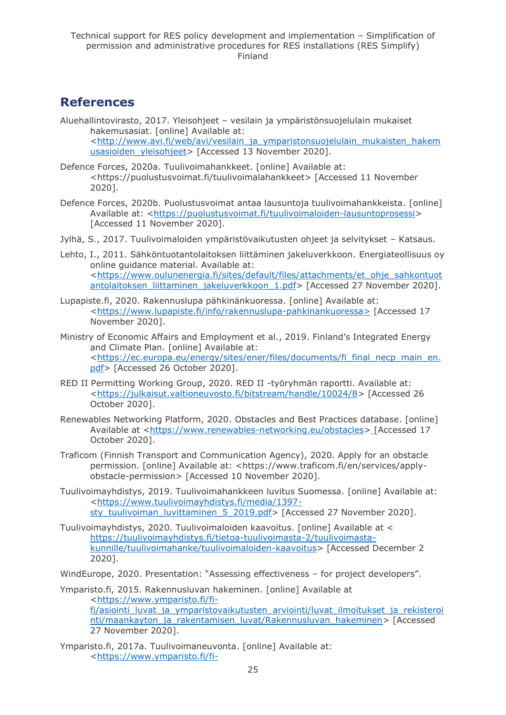## <span id="page-24-0"></span>**References**

- Aluehallintovirasto, 2017. Yleisohjeet vesilain ja ympäristönsuojelulain mukaiset hakemusasiat. [online] Available at: [<http://www.avi.fi/web/avi/vesilain\\_ja\\_ymparistonsuojelulain\\_mukaisten\\_hakem](http://www.avi.fi/web/avi/vesilain_ja_ymparistonsuojelulain_mukaisten_hakemusasioiden_yleisohjeet) [usasioiden\\_yleisohjeet>](http://www.avi.fi/web/avi/vesilain_ja_ymparistonsuojelulain_mukaisten_hakemusasioiden_yleisohjeet) [Accessed 13 November 2020].
- Defence Forces, 2020a. Tuulivoimahankkeet. [online] Available at: [<https://puolustusvoimat.fi/tuulivoimalahankkeet>](https://puolustusvoimat.fi/tuulivoimalahankkeet) [Accessed 11 November 2020].
- Defence Forces, 2020b. Puolustusvoimat antaa lausuntoja tuulivoimahankkeista. [online] Available at: [<https://puolustusvoimat.fi/tuulivoimaloiden-lausuntoprosessi>](https://puolustusvoimat.fi/tuulivoimaloiden-lausuntoprosessi) [Accessed 11 November 2020].
- Jylhä, S., 2017. Tuulivoimaloiden ympäristövaikutusten ohjeet ja selvitykset Katsaus.
- Lehto, I., 2011. Sähköntuotantolaitoksen liittäminen jakeluverkkoon. Energiateollisuus oy online guidance material. Available at: [<https://www.oulunenergia.fi/sites/default/files/attachments/et\\_ohje\\_sahkontuot](https://www.oulunenergia.fi/sites/default/files/attachments/et_ohje_sahkontuotantolaitoksen_liittaminen_jakeluverkkoon_1.pdf) [antolaitoksen\\_liittaminen\\_jakeluverkkoon\\_1.pdf>](https://www.oulunenergia.fi/sites/default/files/attachments/et_ohje_sahkontuotantolaitoksen_liittaminen_jakeluverkkoon_1.pdf) [Accessed 27 November 2020].
- Lupapiste.fi, 2020. Rakennuslupa pähkinänkuoressa. [online] Available at: [<https://www.lupapiste.fi/info/rakennuslupa-pahkinankuoressa>](https://www.lupapiste.fi/info/rakennuslupa-pahkinankuoressa) [Accessed 17 November 2020].
- Ministry of Economic Affairs and Employment et al., 2019. Finland's Integrated Energy and Climate Plan. [online] Available at: [<https://ec.europa.eu/energy/sites/ener/files/documents/fi\\_final\\_necp\\_main\\_en.](https://ec.europa.eu/energy/sites/ener/files/documents/fi_final_necp_main_en.pdf) [pdf>](https://ec.europa.eu/energy/sites/ener/files/documents/fi_final_necp_main_en.pdf) [Accessed 26 October 2020].
- RED II Permitting Working Group, 2020. RED II -työryhmän raportti. Available at: [<https://julkaisut.valtioneuvosto.fi/bitstream/handle/10024/8>](https://julkaisut.valtioneuvosto.fi/bitstream/handle/10024/8) [Accessed 26 October 2020].
- Renewables Networking Platform, 2020. Obstacles and Best Practices database. [online] Available at [<https://www.renewables-networking.eu/obstacles>](https://www.renewables-networking.eu/obstacles) [Accessed 17 October 2020].
- Traficom (Finnish Transport and Communication Agency), 2020. Apply for an obstacle permission. [online] Available at: [<https://www.traficom.fi/en/services/apply](https://www.traficom.fi/en/services/apply-obstacle-permission)[obstacle-permission>](https://www.traficom.fi/en/services/apply-obstacle-permission) [Accessed 10 November 2020].
- Tuulivoimayhdistys, 2019. Tuulivoimahankkeen luvitus Suomessa. [online] Available at: [<https://www.tuulivoimayhdistys.fi/media/1397](https://www.tuulivoimayhdistys.fi/media/1397-sty_tuulivoiman_luvittaminen_5_2019.pdf) [sty\\_tuulivoiman\\_luvittaminen\\_5\\_2019.pdf>](https://www.tuulivoimayhdistys.fi/media/1397-sty_tuulivoiman_luvittaminen_5_2019.pdf) [Accessed 27 November 2020].
- Tuulivoimayhdistys, 2020. Tuulivoimaloiden kaavoitus. [online] Available at < [https://tuulivoimayhdistys.fi/tietoa-tuulivoimasta-2/tuulivoimasta](https://tuulivoimayhdistys.fi/tietoa-tuulivoimasta-2/tuulivoimasta-kunnille/tuulivoimahanke/tuulivoimaloiden-kaavoitus)[kunnille/tuulivoimahanke/tuulivoimaloiden-kaavoitus>](https://tuulivoimayhdistys.fi/tietoa-tuulivoimasta-2/tuulivoimasta-kunnille/tuulivoimahanke/tuulivoimaloiden-kaavoitus) [Accessed December 2 2020].
- WindEurope, 2020. Presentation: "Assessing effectiveness for project developers".
- Ymparisto.fi, 2015. Rakennusluvan hakeminen. [online] Available at [<https://www.ymparisto.fi/fi](https://www.ymparisto.fi/fi-fi/asiointi_luvat_ja_ymparistovaikutusten_arviointi/luvat_ilmoitukset_ja_rekisterointi/maankayton_ja_rakentamisen_luvat/Rakennusluvan_hakeminen)fi/asiointi luvat ja ymparistovaikutusten arviointi/luvat ilmoitukset ja rekisteroi [nti/maankayton\\_ja\\_rakentamisen\\_luvat/Rakennusluvan\\_hakeminen>](https://www.ymparisto.fi/fi-fi/asiointi_luvat_ja_ymparistovaikutusten_arviointi/luvat_ilmoitukset_ja_rekisterointi/maankayton_ja_rakentamisen_luvat/Rakennusluvan_hakeminen) [Accessed 27 November 2020].
- Ymparisto.fi, 2017a. Tuulivoimaneuvonta. [online] Available at: [<https://www.ymparisto.fi/fi-](https://www.ymparisto.fi/fi-FI/Elinymparisto_ja_kaavoitus/Elinymparisto/Tuulivoimarakentaminen/Tuulivoimaneuvonta)